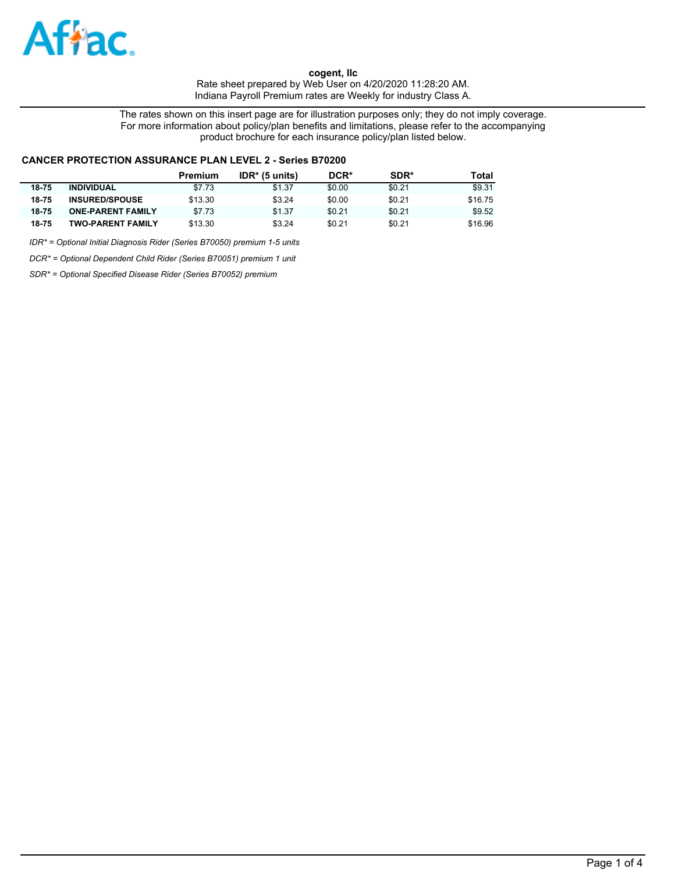

The rates shown on this insert page are for illustration purposes only; they do not imply coverage. For more information about policy/plan benefits and limitations, please refer to the accompanying product brochure for each insurance policy/plan listed below.

### **CANCER PROTECTION ASSURANCE PLAN LEVEL 2 - Series B70200**

|       |                          | Premium | $IDR* (5 units)$ | DCR*   | SDR*   | Total   |
|-------|--------------------------|---------|------------------|--------|--------|---------|
| 18-75 | <b>INDIVIDUAL</b>        | \$7.73  | \$1.37           | \$0.00 | \$0.21 | \$9.31  |
| 18-75 | <b>INSURED/SPOUSE</b>    | \$13.30 | \$3.24           | \$0.00 | \$0.21 | \$16.75 |
| 18-75 | <b>ONE-PARENT FAMILY</b> | \$7.73  | \$1.37           | \$0.21 | \$0.21 | \$9.52  |
| 18-75 | <b>TWO-PARENT FAMILY</b> | \$13.30 | \$3.24           | \$0.21 | \$0.21 | \$16.96 |

*IDR\* = Optional Initial Diagnosis Rider (Series B70050) premium 1-5 units*

*DCR\* = Optional Dependent Child Rider (Series B70051) premium 1 unit*

*SDR\* = Optional Specified Disease Rider (Series B70052) premium*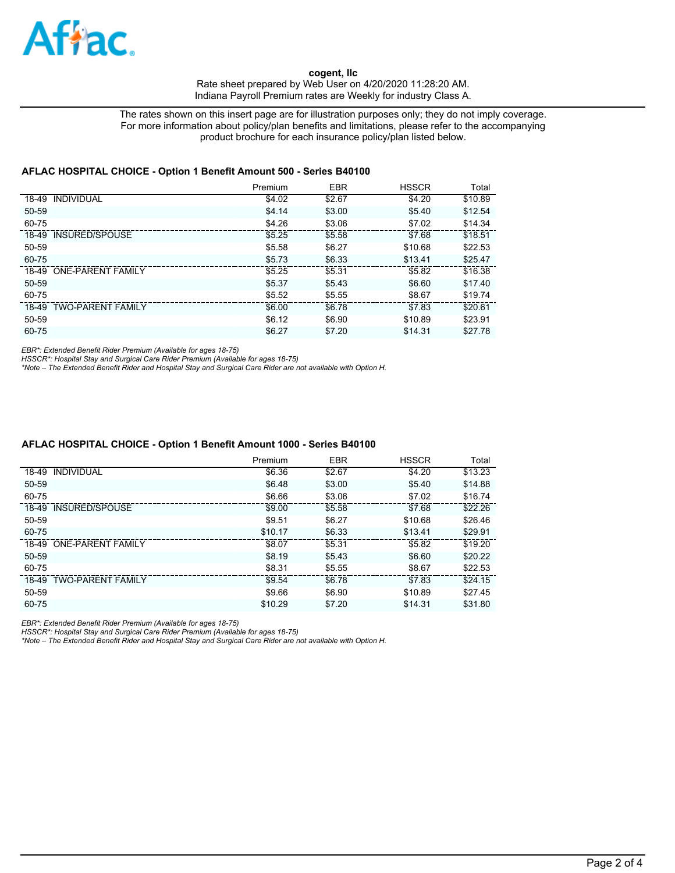

The rates shown on this insert page are for illustration purposes only; they do not imply coverage. For more information about policy/plan benefits and limitations, please refer to the accompanying product brochure for each insurance policy/plan listed below.

### **AFLAC HOSPITAL CHOICE - Option 1 Benefit Amount 500 - Series B40100**

|                         | Premium | <b>EBR</b> | <b>HSSCR</b> | Total   |
|-------------------------|---------|------------|--------------|---------|
| 18-49 INDIVIDUAL        | \$4.02  | \$2.67     | \$4.20       | \$10.89 |
| 50-59                   | \$4.14  | \$3.00     | \$5.40       | \$12.54 |
| 60-75                   | \$4.26  | \$3.06     | \$7.02       | \$14.34 |
| 18-49 INSURED/SPOUSE    | \$5.25  | \$5.58     | \$7.68       | \$18.51 |
| 50-59                   | \$5.58  | \$6.27     | \$10.68      | \$22.53 |
| 60-75                   | \$5.73  | \$6.33     | \$13.41      | \$25.47 |
| 18-49 ONE-PARENT FAMILY | \$5.25  | \$5.31     | \$5.82       | \$16.38 |
| 50-59                   | \$5.37  | \$5.43     | \$6.60       | \$17.40 |
| 60-75                   | \$5.52  | \$5.55     | \$8.67       | \$19.74 |
| 18-49 TWO-PARENT FAMILY | \$6.00  | \$6.78     | \$7.83       | \$20.61 |
| 50-59                   | \$6.12  | \$6.90     | \$10.89      | \$23.91 |
| 60-75                   | \$6.27  | \$7.20     | \$14.31      | \$27.78 |

*EBR\*: Extended Benefit Rider Premium (Available for ages 18-75)*

*HSSCR\*: Hospital Stay and Surgical Care Rider Premium (Available for ages 18-75) \*Note – The Extended Benefit Rider and Hospital Stay and Surgical Care Rider are not available with Option H.*

#### **AFLAC HOSPITAL CHOICE - Option 1 Benefit Amount 1000 - Series B40100**

| Premium | <b>EBR</b> | <b>HSSCR</b> | Total   |
|---------|------------|--------------|---------|
| \$6.36  | \$2.67     | \$4.20       | \$13.23 |
| \$6.48  | \$3.00     | \$5.40       | \$14.88 |
| \$6.66  | \$3.06     | \$7.02       | \$16.74 |
| \$9.00  | \$5.58     | \$7.68       | \$22.26 |
| \$9.51  | \$6.27     | \$10.68      | \$26.46 |
| \$10.17 | \$6.33     | \$13.41      | \$29.91 |
| \$8.07  | \$5.31     | \$5.82       | \$19.20 |
| \$8.19  | \$5.43     | \$6.60       | \$20.22 |
| \$8.31  | \$5.55     | \$8.67       | \$22.53 |
| \$9.54  | \$6.78     | \$7.83       | \$24.15 |
| \$9.66  | \$6.90     | \$10.89      | \$27.45 |
| \$10.29 | \$7.20     | \$14.31      | \$31.80 |
|         |            |              |         |

*EBR\*: Extended Benefit Rider Premium (Available for ages 18-75)*

*HSSCR\*: Hospital Stay and Surgical Care Rider Premium (Available for ages 18-75) \*Note – The Extended Benefit Rider and Hospital Stay and Surgical Care Rider are not available with Option H.*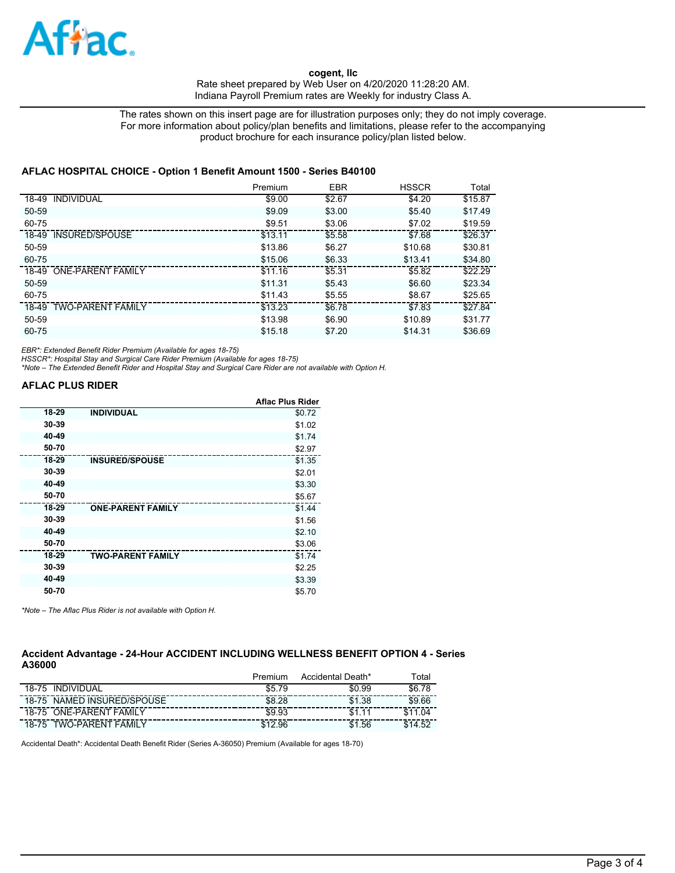

The rates shown on this insert page are for illustration purposes only; they do not imply coverage. For more information about policy/plan benefits and limitations, please refer to the accompanying product brochure for each insurance policy/plan listed below.

### **AFLAC HOSPITAL CHOICE - Option 1 Benefit Amount 1500 - Series B40100**

|                         | Premium | <b>EBR</b> | <b>HSSCR</b> | Total   |
|-------------------------|---------|------------|--------------|---------|
| 18-49 INDIVIDUAL        | \$9.00  | \$2.67     | \$4.20       | \$15.87 |
| 50-59                   | \$9.09  | \$3.00     | \$5.40       | \$17.49 |
| 60-75                   | \$9.51  | \$3.06     | \$7.02       | \$19.59 |
| 18-49 INSURED/SPOUSE    | \$13.11 | \$5.58     | \$7.68       | \$26.37 |
| 50-59                   | \$13.86 | \$6.27     | \$10.68      | \$30.81 |
| $60 - 75$               | \$15.06 | \$6.33     | \$13.41      | \$34.80 |
| 18-49 ONE-PARENT FAMILY | \$11.16 | \$5.31     | \$5.82       | \$22.29 |
| 50-59                   | \$11.31 | \$5.43     | \$6.60       | \$23.34 |
| 60-75                   | \$11.43 | \$5.55     | \$8.67       | \$25.65 |
| 18-49 TWO-PARENT FAMILY | \$13.23 | \$6.78     | \$7.83       | \$27.84 |
| 50-59                   | \$13.98 | \$6.90     | \$10.89      | \$31.77 |
| 60-75                   | \$15.18 | \$7.20     | \$14.31      | \$36.69 |

*EBR\*: Extended Benefit Rider Premium (Available for ages 18-75)*

*HSSCR\*: Hospital Stay and Surgical Care Rider Premium (Available for ages 18-75) \*Note – The Extended Benefit Rider and Hospital Stay and Surgical Care Rider are not available with Option H.*

# **AFLAC PLUS RIDER**

|       |                          | <b>Aflac Plus Rider</b> |
|-------|--------------------------|-------------------------|
| 18-29 | <b>INDIVIDUAL</b>        | \$0.72                  |
| 30-39 |                          | \$1.02                  |
| 40-49 |                          | \$1.74                  |
| 50-70 |                          | \$2.97                  |
| 18-29 | <b>INSURED/SPOUSE</b>    | \$1.35                  |
| 30-39 |                          | \$2.01                  |
| 40-49 |                          | \$3.30                  |
| 50-70 |                          | \$5.67                  |
| 18-29 | <b>ONE-PARENT FAMILY</b> | \$1.44                  |
| 30-39 |                          | \$1.56                  |
| 40-49 |                          | \$2.10                  |
| 50-70 |                          | \$3.06                  |
| 18-29 | <b>TWO-PARENT FAMILY</b> | \$1.74                  |
| 30-39 |                          | \$2.25                  |
| 40-49 |                          | \$3.39                  |
| 50-70 |                          | \$5.70                  |

*\*Note – The Aflac Plus Rider is not available with Option H.*

## **Accident Advantage - 24-Hour ACCIDENT INCLUDING WELLNESS BENEFIT OPTION 4 - Series A36000**

|           |                          | Premium | Accidental Death* | ™ota∟        |
|-----------|--------------------------|---------|-------------------|--------------|
| 18-75     | <b>INDIVIDUAL</b>        | \$5.79  | \$0.99            | \$6.,<br>-78 |
| $18 - 75$ | NAMED INSURED/SPOUSE     | \$8.28  | \$1.38            | \$9.66       |
|           | 18-75 ONE-PARENT FAMILY  | \$9.93  | \$1               | \$11.04      |
| $18 - 75$ | <b>TWO-PARENT FAMILY</b> | 96      | .56               | ድ 14 52      |

Accidental Death\*: Accidental Death Benefit Rider (Series A-36050) Premium (Available for ages 18-70)